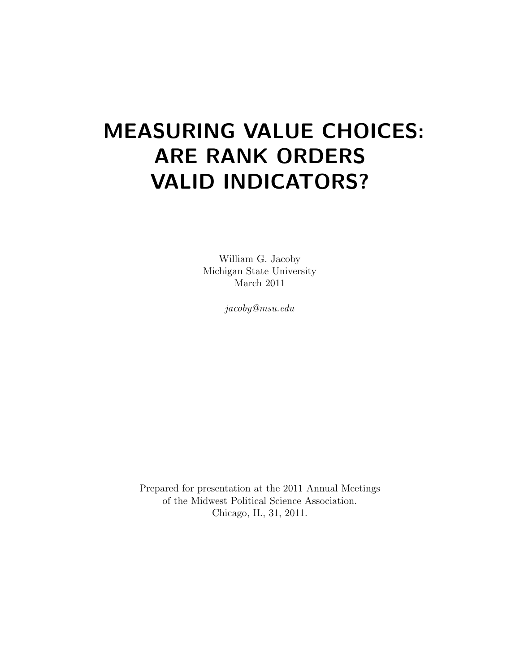# MEASURING VALUE CHOICES: ARE RANK ORDERS VALID INDICATORS?

William G. Jacoby Michigan State University March 2011

jacoby@msu.edu

Prepared for presentation at the 2011 Annual Meetings of the Midwest Political Science Association. Chicago, IL, 31, 2011.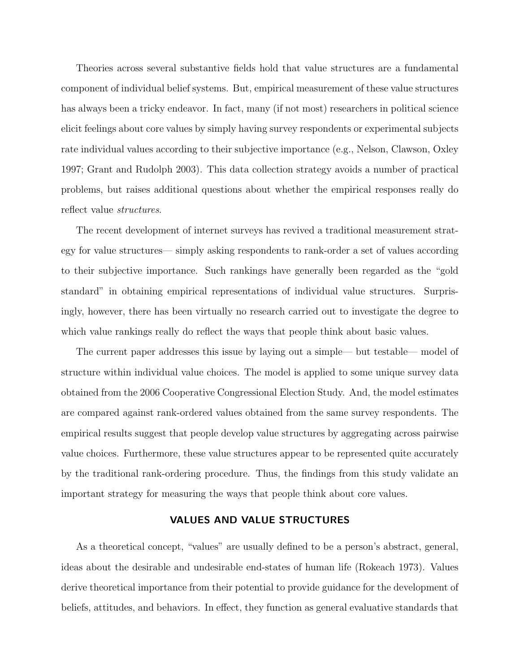Theories across several substantive fields hold that value structures are a fundamental component of individual belief systems. But, empirical measurement of these value structures has always been a tricky endeavor. In fact, many (if not most) researchers in political science elicit feelings about core values by simply having survey respondents or experimental subjects rate individual values according to their subjective importance (e.g., Nelson, Clawson, Oxley 1997; Grant and Rudolph 2003). This data collection strategy avoids a number of practical problems, but raises additional questions about whether the empirical responses really do reflect value structures.

The recent development of internet surveys has revived a traditional measurement strategy for value structures— simply asking respondents to rank-order a set of values according to their subjective importance. Such rankings have generally been regarded as the "gold standard" in obtaining empirical representations of individual value structures. Surprisingly, however, there has been virtually no research carried out to investigate the degree to which value rankings really do reflect the ways that people think about basic values.

The current paper addresses this issue by laying out a simple— but testable— model of structure within individual value choices. The model is applied to some unique survey data obtained from the 2006 Cooperative Congressional Election Study. And, the model estimates are compared against rank-ordered values obtained from the same survey respondents. The empirical results suggest that people develop value structures by aggregating across pairwise value choices. Furthermore, these value structures appear to be represented quite accurately by the traditional rank-ordering procedure. Thus, the findings from this study validate an important strategy for measuring the ways that people think about core values.

## VALUES AND VALUE STRUCTURES

As a theoretical concept, "values" are usually defined to be a person's abstract, general, ideas about the desirable and undesirable end-states of human life (Rokeach 1973). Values derive theoretical importance from their potential to provide guidance for the development of beliefs, attitudes, and behaviors. In effect, they function as general evaluative standards that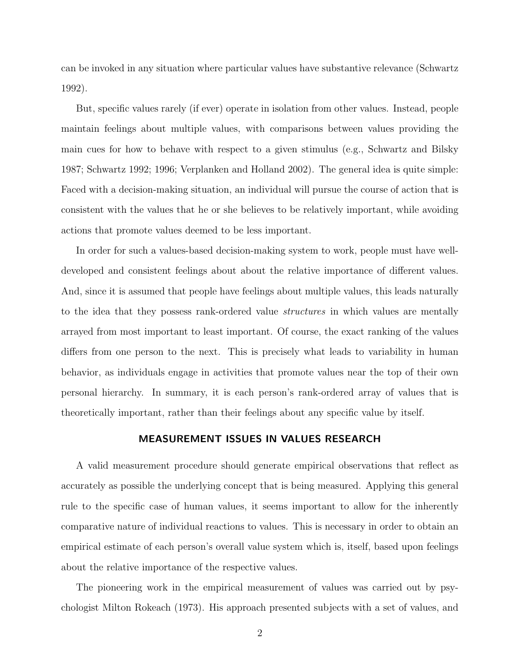can be invoked in any situation where particular values have substantive relevance (Schwartz 1992).

But, specific values rarely (if ever) operate in isolation from other values. Instead, people maintain feelings about multiple values, with comparisons between values providing the main cues for how to behave with respect to a given stimulus (e.g., Schwartz and Bilsky 1987; Schwartz 1992; 1996; Verplanken and Holland 2002). The general idea is quite simple: Faced with a decision-making situation, an individual will pursue the course of action that is consistent with the values that he or she believes to be relatively important, while avoiding actions that promote values deemed to be less important.

In order for such a values-based decision-making system to work, people must have welldeveloped and consistent feelings about about the relative importance of different values. And, since it is assumed that people have feelings about multiple values, this leads naturally to the idea that they possess rank-ordered value structures in which values are mentally arrayed from most important to least important. Of course, the exact ranking of the values differs from one person to the next. This is precisely what leads to variability in human behavior, as individuals engage in activities that promote values near the top of their own personal hierarchy. In summary, it is each person's rank-ordered array of values that is theoretically important, rather than their feelings about any specific value by itself.

### MEASUREMENT ISSUES IN VALUES RESEARCH

A valid measurement procedure should generate empirical observations that reflect as accurately as possible the underlying concept that is being measured. Applying this general rule to the specific case of human values, it seems important to allow for the inherently comparative nature of individual reactions to values. This is necessary in order to obtain an empirical estimate of each person's overall value system which is, itself, based upon feelings about the relative importance of the respective values.

The pioneering work in the empirical measurement of values was carried out by psychologist Milton Rokeach (1973). His approach presented subjects with a set of values, and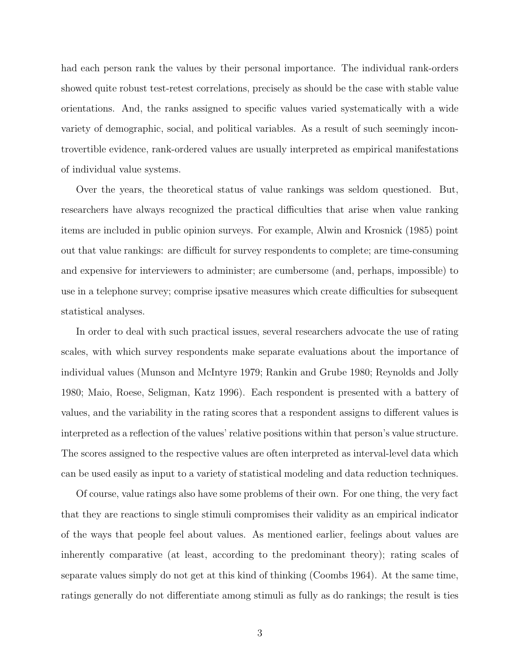had each person rank the values by their personal importance. The individual rank-orders showed quite robust test-retest correlations, precisely as should be the case with stable value orientations. And, the ranks assigned to specific values varied systematically with a wide variety of demographic, social, and political variables. As a result of such seemingly incontrovertible evidence, rank-ordered values are usually interpreted as empirical manifestations of individual value systems.

Over the years, the theoretical status of value rankings was seldom questioned. But, researchers have always recognized the practical difficulties that arise when value ranking items are included in public opinion surveys. For example, Alwin and Krosnick (1985) point out that value rankings: are difficult for survey respondents to complete; are time-consuming and expensive for interviewers to administer; are cumbersome (and, perhaps, impossible) to use in a telephone survey; comprise ipsative measures which create difficulties for subsequent statistical analyses.

In order to deal with such practical issues, several researchers advocate the use of rating scales, with which survey respondents make separate evaluations about the importance of individual values (Munson and McIntyre 1979; Rankin and Grube 1980; Reynolds and Jolly 1980; Maio, Roese, Seligman, Katz 1996). Each respondent is presented with a battery of values, and the variability in the rating scores that a respondent assigns to different values is interpreted as a reflection of the values' relative positions within that person's value structure. The scores assigned to the respective values are often interpreted as interval-level data which can be used easily as input to a variety of statistical modeling and data reduction techniques.

Of course, value ratings also have some problems of their own. For one thing, the very fact that they are reactions to single stimuli compromises their validity as an empirical indicator of the ways that people feel about values. As mentioned earlier, feelings about values are inherently comparative (at least, according to the predominant theory); rating scales of separate values simply do not get at this kind of thinking (Coombs 1964). At the same time, ratings generally do not differentiate among stimuli as fully as do rankings; the result is ties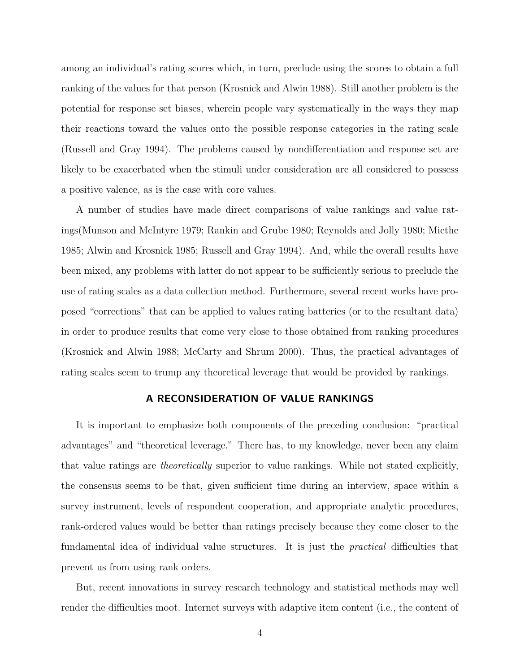among an individual's rating scores which, in turn, preclude using the scores to obtain a full ranking of the values for that person (Krosnick and Alwin 1988). Still another problem is the potential for response set biases, wherein people vary systematically in the ways they map their reactions toward the values onto the possible response categories in the rating scale (Russell and Gray 1994). The problems caused by nondifferentiation and response set are likely to be exacerbated when the stimuli under consideration are all considered to possess a positive valence, as is the case with core values.

A number of studies have made direct comparisons of value rankings and value ratings(Munson and McIntyre 1979; Rankin and Grube 1980; Reynolds and Jolly 1980; Miethe 1985; Alwin and Krosnick 1985; Russell and Gray 1994). And, while the overall results have been mixed, any problems with latter do not appear to be sufficiently serious to preclude the use of rating scales as a data collection method. Furthermore, several recent works have proposed "corrections" that can be applied to values rating batteries (or to the resultant data) in order to produce results that come very close to those obtained from ranking procedures (Krosnick and Alwin 1988; McCarty and Shrum 2000). Thus, the practical advantages of rating scales seem to trump any theoretical leverage that would be provided by rankings.

## A RECONSIDERATION OF VALUE RANKINGS

It is important to emphasize both components of the preceding conclusion: "practical advantages" and "theoretical leverage." There has, to my knowledge, never been any claim that value ratings are theoretically superior to value rankings. While not stated explicitly, the consensus seems to be that, given sufficient time during an interview, space within a survey instrument, levels of respondent cooperation, and appropriate analytic procedures, rank-ordered values would be better than ratings precisely because they come closer to the fundamental idea of individual value structures. It is just the practical difficulties that prevent us from using rank orders.

But, recent innovations in survey research technology and statistical methods may well render the difficulties moot. Internet surveys with adaptive item content (i.e., the content of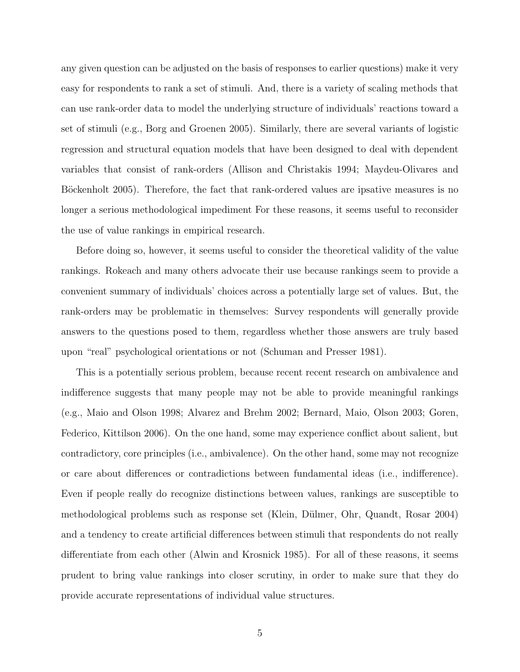any given question can be adjusted on the basis of responses to earlier questions) make it very easy for respondents to rank a set of stimuli. And, there is a variety of scaling methods that can use rank-order data to model the underlying structure of individuals' reactions toward a set of stimuli (e.g., Borg and Groenen 2005). Similarly, there are several variants of logistic regression and structural equation models that have been designed to deal with dependent variables that consist of rank-orders (Allison and Christakis 1994; Maydeu-Olivares and Böckenholt 2005). Therefore, the fact that rank-ordered values are ipsative measures is no longer a serious methodological impediment For these reasons, it seems useful to reconsider the use of value rankings in empirical research.

Before doing so, however, it seems useful to consider the theoretical validity of the value rankings. Rokeach and many others advocate their use because rankings seem to provide a convenient summary of individuals' choices across a potentially large set of values. But, the rank-orders may be problematic in themselves: Survey respondents will generally provide answers to the questions posed to them, regardless whether those answers are truly based upon "real" psychological orientations or not (Schuman and Presser 1981).

This is a potentially serious problem, because recent recent research on ambivalence and indifference suggests that many people may not be able to provide meaningful rankings (e.g., Maio and Olson 1998; Alvarez and Brehm 2002; Bernard, Maio, Olson 2003; Goren, Federico, Kittilson 2006). On the one hand, some may experience conflict about salient, but contradictory, core principles (i.e., ambivalence). On the other hand, some may not recognize or care about differences or contradictions between fundamental ideas (i.e., indifference). Even if people really do recognize distinctions between values, rankings are susceptible to methodological problems such as response set (Klein, Dülmer, Ohr, Quandt, Rosar 2004) and a tendency to create artificial differences between stimuli that respondents do not really differentiate from each other (Alwin and Krosnick 1985). For all of these reasons, it seems prudent to bring value rankings into closer scrutiny, in order to make sure that they do provide accurate representations of individual value structures.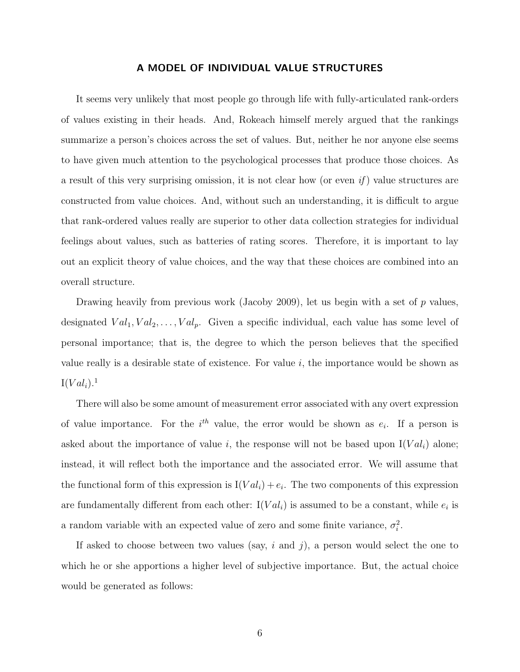#### A MODEL OF INDIVIDUAL VALUE STRUCTURES

It seems very unlikely that most people go through life with fully-articulated rank-orders of values existing in their heads. And, Rokeach himself merely argued that the rankings summarize a person's choices across the set of values. But, neither he nor anyone else seems to have given much attention to the psychological processes that produce those choices. As a result of this very surprising omission, it is not clear how (or even  $if$ ) value structures are constructed from value choices. And, without such an understanding, it is difficult to argue that rank-ordered values really are superior to other data collection strategies for individual feelings about values, such as batteries of rating scores. Therefore, it is important to lay out an explicit theory of value choices, and the way that these choices are combined into an overall structure.

Drawing heavily from previous work (Jacoby 2009), let us begin with a set of  $p$  values, designated  $Val_1, Val_2, \ldots, Val_p$ . Given a specific individual, each value has some level of personal importance; that is, the degree to which the person believes that the specified value really is a desirable state of existence. For value  $i$ , the importance would be shown as  $I(Val_i).<sup>1</sup>$ 

There will also be some amount of measurement error associated with any overt expression of value importance. For the  $i<sup>th</sup>$  value, the error would be shown as  $e_i$ . If a person is asked about the importance of value i, the response will not be based upon  $I(Val_i)$  alone; instead, it will reflect both the importance and the associated error. We will assume that the functional form of this expression is  $I(Val_i) + e_i$ . The two components of this expression are fundamentally different from each other:  $I(Val_i)$  is assumed to be a constant, while  $e_i$  is a random variable with an expected value of zero and some finite variance,  $\sigma_i^2$ .

If asked to choose between two values (say,  $i$  and  $j$ ), a person would select the one to which he or she apportions a higher level of subjective importance. But, the actual choice would be generated as follows: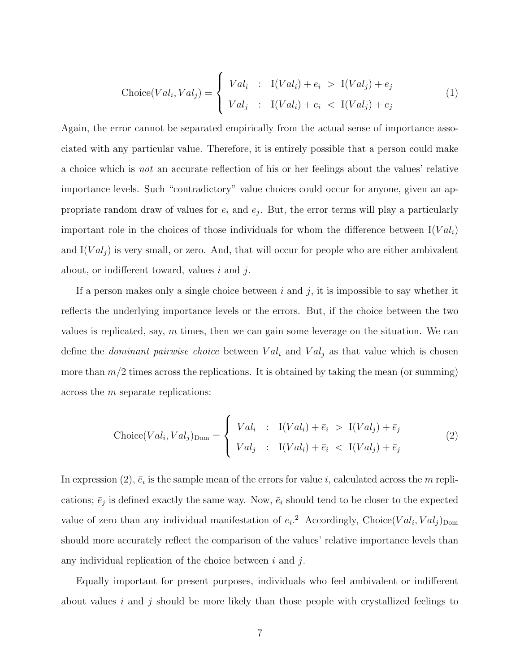$$
\text{Choice}(Val_i, Val_j) = \begin{cases} Val_i : I(Val_i) + e_i > I(Val_j) + e_j \\ Val_j : I(Val_i) + e_i < I(Val_j) + e_j \end{cases} \tag{1}
$$

Again, the error cannot be separated empirically from the actual sense of importance associated with any particular value. Therefore, it is entirely possible that a person could make a choice which is not an accurate reflection of his or her feelings about the values' relative importance levels. Such "contradictory" value choices could occur for anyone, given an appropriate random draw of values for  $e_i$  and  $e_j$ . But, the error terms will play a particularly important role in the choices of those individuals for whom the difference between  $I(Val_i)$ and  $I(Val<sub>j</sub>)$  is very small, or zero. And, that will occur for people who are either ambivalent about, or indifferent toward, values  $i$  and  $j$ .

If a person makes only a single choice between i and j, it is impossible to say whether it reflects the underlying importance levels or the errors. But, if the choice between the two values is replicated, say,  $m$  times, then we can gain some leverage on the situation. We can define the *dominant pairwise choice* between  $Val_i$  and  $Val_j$  as that value which is chosen more than  $m/2$  times across the replications. It is obtained by taking the mean (or summing) across the m separate replications:

$$
\text{Choice}(Val_i, Val_j)_{\text{Dom}} = \begin{cases} Val_i & : \quad \text{I}(Val_i) + \bar{e}_i \quad > \quad \text{I}(Val_j) + \bar{e}_j \\ Val_j & : \quad \text{I}(Val_i) + \bar{e}_i \quad < \quad \text{I}(Val_j) + \bar{e}_j \end{cases} \tag{2}
$$

In expression (2),  $\bar{e}_i$  is the sample mean of the errors for value i, calculated across the m replications;  $\bar{e}_j$  is defined exactly the same way. Now,  $\bar{e}_i$  should tend to be closer to the expected value of zero than any individual manifestation of  $e_i$ <sup>2</sup> Accordingly, Choice(Val<sub>i</sub>, Val<sub>j</sub>)<sub>Dom</sub> should more accurately reflect the comparison of the values' relative importance levels than any individual replication of the choice between  $i$  and  $j$ .

Equally important for present purposes, individuals who feel ambivalent or indifferent about values i and j should be more likely than those people with crystallized feelings to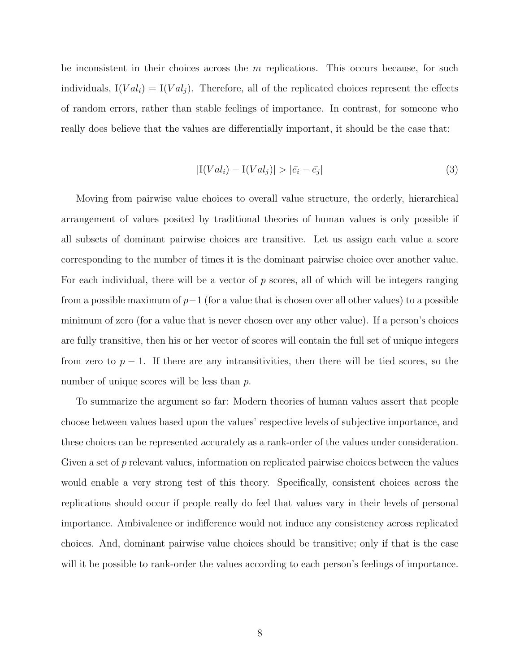be inconsistent in their choices across the  $m$  replications. This occurs because, for such individuals,  $I(Val_i) = I(Val_j)$ . Therefore, all of the replicated choices represent the effects of random errors, rather than stable feelings of importance. In contrast, for someone who really does believe that the values are differentially important, it should be the case that:

$$
|\mathcal{I}(Val_i) - \mathcal{I}(Val_j)| > |\bar{e_i} - \bar{e_j}| \tag{3}
$$

Moving from pairwise value choices to overall value structure, the orderly, hierarchical arrangement of values posited by traditional theories of human values is only possible if all subsets of dominant pairwise choices are transitive. Let us assign each value a score corresponding to the number of times it is the dominant pairwise choice over another value. For each individual, there will be a vector of  $p$  scores, all of which will be integers ranging from a possible maximum of  $p-1$  (for a value that is chosen over all other values) to a possible minimum of zero (for a value that is never chosen over any other value). If a person's choices are fully transitive, then his or her vector of scores will contain the full set of unique integers from zero to  $p-1$ . If there are any intransitivities, then there will be tied scores, so the number of unique scores will be less than p.

To summarize the argument so far: Modern theories of human values assert that people choose between values based upon the values' respective levels of subjective importance, and these choices can be represented accurately as a rank-order of the values under consideration. Given a set of  $p$  relevant values, information on replicated pairwise choices between the values would enable a very strong test of this theory. Specifically, consistent choices across the replications should occur if people really do feel that values vary in their levels of personal importance. Ambivalence or indifference would not induce any consistency across replicated choices. And, dominant pairwise value choices should be transitive; only if that is the case will it be possible to rank-order the values according to each person's feelings of importance.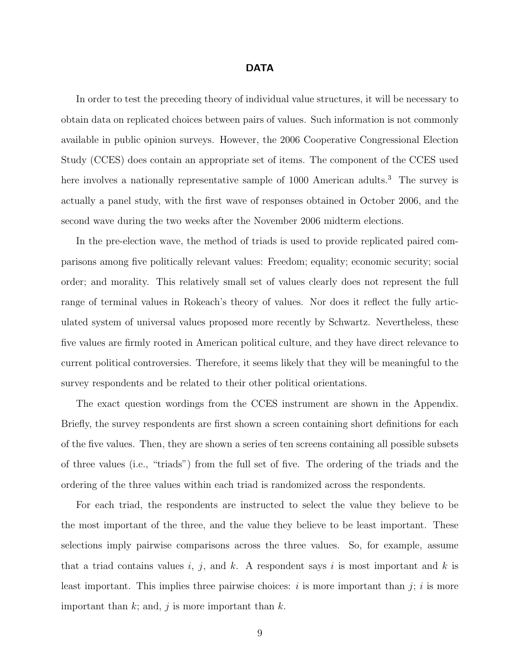#### DATA

In order to test the preceding theory of individual value structures, it will be necessary to obtain data on replicated choices between pairs of values. Such information is not commonly available in public opinion surveys. However, the 2006 Cooperative Congressional Election Study (CCES) does contain an appropriate set of items. The component of the CCES used here involves a nationally representative sample of 1000 American adults.<sup>3</sup> The survey is actually a panel study, with the first wave of responses obtained in October 2006, and the second wave during the two weeks after the November 2006 midterm elections.

In the pre-election wave, the method of triads is used to provide replicated paired comparisons among five politically relevant values: Freedom; equality; economic security; social order; and morality. This relatively small set of values clearly does not represent the full range of terminal values in Rokeach's theory of values. Nor does it reflect the fully articulated system of universal values proposed more recently by Schwartz. Nevertheless, these five values are firmly rooted in American political culture, and they have direct relevance to current political controversies. Therefore, it seems likely that they will be meaningful to the survey respondents and be related to their other political orientations.

The exact question wordings from the CCES instrument are shown in the Appendix. Briefly, the survey respondents are first shown a screen containing short definitions for each of the five values. Then, they are shown a series of ten screens containing all possible subsets of three values (i.e., "triads") from the full set of five. The ordering of the triads and the ordering of the three values within each triad is randomized across the respondents.

For each triad, the respondents are instructed to select the value they believe to be the most important of the three, and the value they believe to be least important. These selections imply pairwise comparisons across the three values. So, for example, assume that a triad contains values i, j, and k. A respondent says i is most important and k is least important. This implies three pairwise choices:  $i$  is more important than  $j$ ;  $i$  is more important than  $k$ ; and,  $j$  is more important than  $k$ .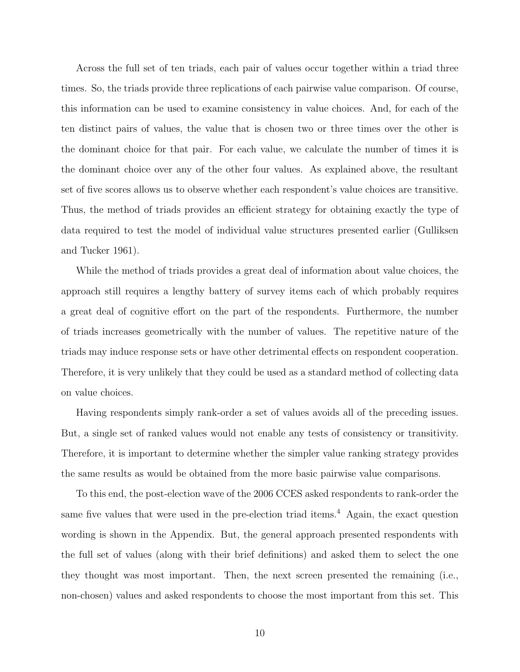Across the full set of ten triads, each pair of values occur together within a triad three times. So, the triads provide three replications of each pairwise value comparison. Of course, this information can be used to examine consistency in value choices. And, for each of the ten distinct pairs of values, the value that is chosen two or three times over the other is the dominant choice for that pair. For each value, we calculate the number of times it is the dominant choice over any of the other four values. As explained above, the resultant set of five scores allows us to observe whether each respondent's value choices are transitive. Thus, the method of triads provides an efficient strategy for obtaining exactly the type of data required to test the model of individual value structures presented earlier (Gulliksen and Tucker 1961).

While the method of triads provides a great deal of information about value choices, the approach still requires a lengthy battery of survey items each of which probably requires a great deal of cognitive effort on the part of the respondents. Furthermore, the number of triads increases geometrically with the number of values. The repetitive nature of the triads may induce response sets or have other detrimental effects on respondent cooperation. Therefore, it is very unlikely that they could be used as a standard method of collecting data on value choices.

Having respondents simply rank-order a set of values avoids all of the preceding issues. But, a single set of ranked values would not enable any tests of consistency or transitivity. Therefore, it is important to determine whether the simpler value ranking strategy provides the same results as would be obtained from the more basic pairwise value comparisons.

To this end, the post-election wave of the 2006 CCES asked respondents to rank-order the same five values that were used in the pre-election triad items.<sup>4</sup> Again, the exact question wording is shown in the Appendix. But, the general approach presented respondents with the full set of values (along with their brief definitions) and asked them to select the one they thought was most important. Then, the next screen presented the remaining (i.e., non-chosen) values and asked respondents to choose the most important from this set. This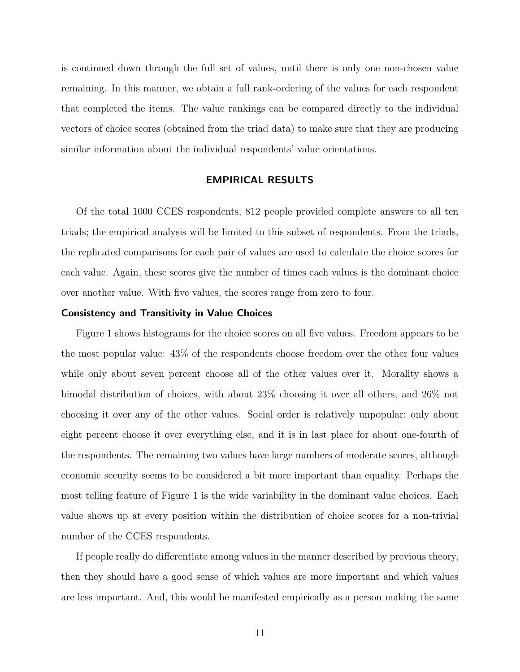is continued down through the full set of values, until there is only one non-chosen value remaining. In this manner, we obtain a full rank-ordering of the values for each respondent that completed the items. The value rankings can be compared directly to the individual vectors of choice scores (obtained from the triad data) to make sure that they are producing similar information about the individual respondents' value orientations.

#### EMPIRICAL RESULTS

Of the total 1000 CCES respondents, 812 people provided complete answers to all ten triads; the empirical analysis will be limited to this subset of respondents. From the triads, the replicated comparisons for each pair of values are used to calculate the choice scores for each value. Again, these scores give the number of times each values is the dominant choice over another value. With five values, the scores range from zero to four.

#### Consistency and Transitivity in Value Choices

Figure 1 shows histograms for the choice scores on all five values. Freedom appears to be the most popular value: 43% of the respondents choose freedom over the other four values while only about seven percent choose all of the other values over it. Morality shows a bimodal distribution of choices, with about 23% choosing it over all others, and 26% not choosing it over any of the other values. Social order is relatively unpopular; only about eight percent choose it over everything else, and it is in last place for about one-fourth of the respondents. The remaining two values have large numbers of moderate scores, although economic security seems to be considered a bit more important than equality. Perhaps the most telling feature of Figure 1 is the wide variability in the dominant value choices. Each value shows up at every position within the distribution of choice scores for a non-trivial number of the CCES respondents.

If people really do differentiate among values in the manner described by previous theory, then they should have a good sense of which values are more important and which values are less important. And, this would be manifested empirically as a person making the same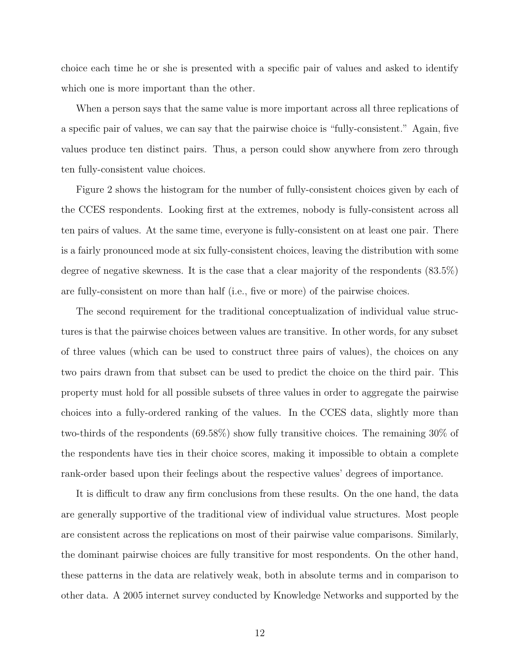choice each time he or she is presented with a specific pair of values and asked to identify which one is more important than the other.

When a person says that the same value is more important across all three replications of a specific pair of values, we can say that the pairwise choice is "fully-consistent." Again, five values produce ten distinct pairs. Thus, a person could show anywhere from zero through ten fully-consistent value choices.

Figure 2 shows the histogram for the number of fully-consistent choices given by each of the CCES respondents. Looking first at the extremes, nobody is fully-consistent across all ten pairs of values. At the same time, everyone is fully-consistent on at least one pair. There is a fairly pronounced mode at six fully-consistent choices, leaving the distribution with some degree of negative skewness. It is the case that a clear majority of the respondents (83.5%) are fully-consistent on more than half (i.e., five or more) of the pairwise choices.

The second requirement for the traditional conceptualization of individual value structures is that the pairwise choices between values are transitive. In other words, for any subset of three values (which can be used to construct three pairs of values), the choices on any two pairs drawn from that subset can be used to predict the choice on the third pair. This property must hold for all possible subsets of three values in order to aggregate the pairwise choices into a fully-ordered ranking of the values. In the CCES data, slightly more than two-thirds of the respondents (69.58%) show fully transitive choices. The remaining 30% of the respondents have ties in their choice scores, making it impossible to obtain a complete rank-order based upon their feelings about the respective values' degrees of importance.

It is difficult to draw any firm conclusions from these results. On the one hand, the data are generally supportive of the traditional view of individual value structures. Most people are consistent across the replications on most of their pairwise value comparisons. Similarly, the dominant pairwise choices are fully transitive for most respondents. On the other hand, these patterns in the data are relatively weak, both in absolute terms and in comparison to other data. A 2005 internet survey conducted by Knowledge Networks and supported by the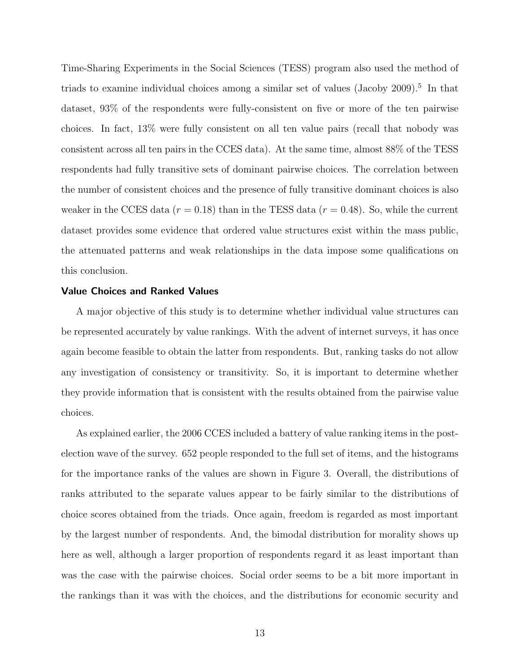Time-Sharing Experiments in the Social Sciences (TESS) program also used the method of triads to examine individual choices among a similar set of values (Jacoby 2009).<sup>5</sup> In that dataset, 93% of the respondents were fully-consistent on five or more of the ten pairwise choices. In fact, 13% were fully consistent on all ten value pairs (recall that nobody was consistent across all ten pairs in the CCES data). At the same time, almost 88% of the TESS respondents had fully transitive sets of dominant pairwise choices. The correlation between the number of consistent choices and the presence of fully transitive dominant choices is also weaker in the CCES data ( $r = 0.18$ ) than in the TESS data ( $r = 0.48$ ). So, while the current dataset provides some evidence that ordered value structures exist within the mass public, the attenuated patterns and weak relationships in the data impose some qualifications on this conclusion.

#### Value Choices and Ranked Values

A major objective of this study is to determine whether individual value structures can be represented accurately by value rankings. With the advent of internet surveys, it has once again become feasible to obtain the latter from respondents. But, ranking tasks do not allow any investigation of consistency or transitivity. So, it is important to determine whether they provide information that is consistent with the results obtained from the pairwise value choices.

As explained earlier, the 2006 CCES included a battery of value ranking items in the postelection wave of the survey. 652 people responded to the full set of items, and the histograms for the importance ranks of the values are shown in Figure 3. Overall, the distributions of ranks attributed to the separate values appear to be fairly similar to the distributions of choice scores obtained from the triads. Once again, freedom is regarded as most important by the largest number of respondents. And, the bimodal distribution for morality shows up here as well, although a larger proportion of respondents regard it as least important than was the case with the pairwise choices. Social order seems to be a bit more important in the rankings than it was with the choices, and the distributions for economic security and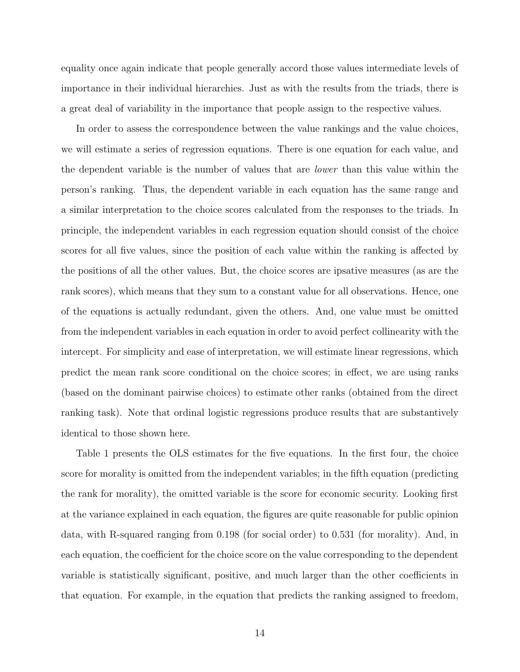equality once again indicate that people generally accord those values intermediate levels of importance in their individual hierarchies. Just as with the results from the triads, there is a great deal of variability in the importance that people assign to the respective values.

In order to assess the correspondence between the value rankings and the value choices, we will estimate a series of regression equations. There is one equation for each value, and the dependent variable is the number of values that are lower than this value within the person's ranking. Thus, the dependent variable in each equation has the same range and a similar interpretation to the choice scores calculated from the responses to the triads. In principle, the independent variables in each regression equation should consist of the choice scores for all five values, since the position of each value within the ranking is affected by the positions of all the other values. But, the choice scores are ipsative measures (as are the rank scores), which means that they sum to a constant value for all observations. Hence, one of the equations is actually redundant, given the others. And, one value must be omitted from the independent variables in each equation in order to avoid perfect collinearity with the intercept. For simplicity and ease of interpretation, we will estimate linear regressions, which predict the mean rank score conditional on the choice scores; in effect, we are using ranks (based on the dominant pairwise choices) to estimate other ranks (obtained from the direct ranking task). Note that ordinal logistic regressions produce results that are substantively identical to those shown here.

Table 1 presents the OLS estimates for the five equations. In the first four, the choice score for morality is omitted from the independent variables; in the fifth equation (predicting the rank for morality), the omitted variable is the score for economic security. Looking first at the variance explained in each equation, the figures are quite reasonable for public opinion data, with R-squared ranging from 0.198 (for social order) to 0.531 (for morality). And, in each equation, the coefficient for the choice score on the value corresponding to the dependent variable is statistically significant, positive, and much larger than the other coefficients in that equation. For example, in the equation that predicts the ranking assigned to freedom,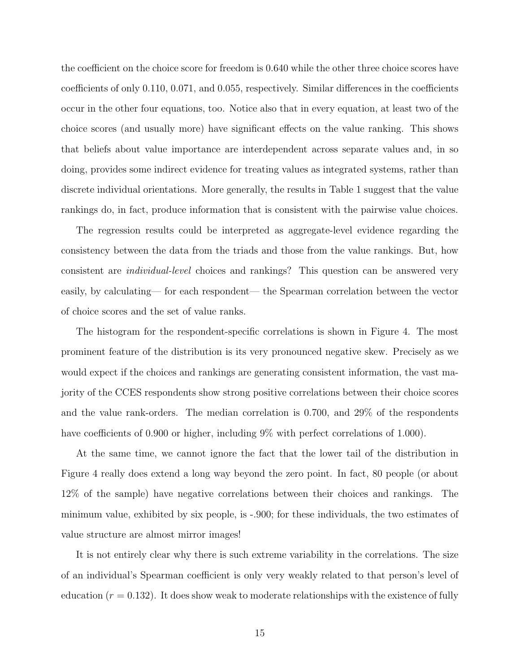the coefficient on the choice score for freedom is 0.640 while the other three choice scores have coefficients of only 0.110, 0.071, and 0.055, respectively. Similar differences in the coefficients occur in the other four equations, too. Notice also that in every equation, at least two of the choice scores (and usually more) have significant effects on the value ranking. This shows that beliefs about value importance are interdependent across separate values and, in so doing, provides some indirect evidence for treating values as integrated systems, rather than discrete individual orientations. More generally, the results in Table 1 suggest that the value rankings do, in fact, produce information that is consistent with the pairwise value choices.

The regression results could be interpreted as aggregate-level evidence regarding the consistency between the data from the triads and those from the value rankings. But, how consistent are individual-level choices and rankings? This question can be answered very easily, by calculating— for each respondent— the Spearman correlation between the vector of choice scores and the set of value ranks.

The histogram for the respondent-specific correlations is shown in Figure 4. The most prominent feature of the distribution is its very pronounced negative skew. Precisely as we would expect if the choices and rankings are generating consistent information, the vast majority of the CCES respondents show strong positive correlations between their choice scores and the value rank-orders. The median correlation is 0.700, and 29% of the respondents have coefficients of 0.900 or higher, including 9% with perfect correlations of 1.000).

At the same time, we cannot ignore the fact that the lower tail of the distribution in Figure 4 really does extend a long way beyond the zero point. In fact, 80 people (or about 12% of the sample) have negative correlations between their choices and rankings. The minimum value, exhibited by six people, is -.900; for these individuals, the two estimates of value structure are almost mirror images!

It is not entirely clear why there is such extreme variability in the correlations. The size of an individual's Spearman coefficient is only very weakly related to that person's level of education  $(r = 0.132)$ . It does show weak to moderate relationships with the existence of fully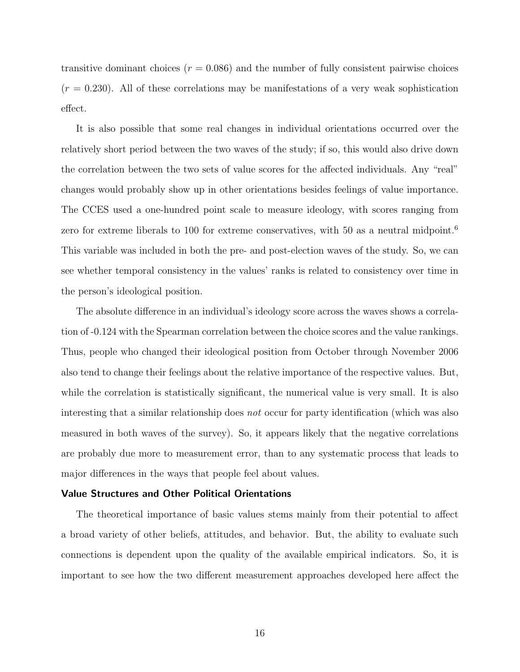transitive dominant choices  $(r = 0.086)$  and the number of fully consistent pairwise choices  $(r = 0.230)$ . All of these correlations may be manifestations of a very weak sophistication effect.

It is also possible that some real changes in individual orientations occurred over the relatively short period between the two waves of the study; if so, this would also drive down the correlation between the two sets of value scores for the affected individuals. Any "real" changes would probably show up in other orientations besides feelings of value importance. The CCES used a one-hundred point scale to measure ideology, with scores ranging from zero for extreme liberals to 100 for extreme conservatives, with 50 as a neutral midpoint.<sup>6</sup> This variable was included in both the pre- and post-election waves of the study. So, we can see whether temporal consistency in the values' ranks is related to consistency over time in the person's ideological position.

The absolute difference in an individual's ideology score across the waves shows a correlation of -0.124 with the Spearman correlation between the choice scores and the value rankings. Thus, people who changed their ideological position from October through November 2006 also tend to change their feelings about the relative importance of the respective values. But, while the correlation is statistically significant, the numerical value is very small. It is also interesting that a similar relationship does not occur for party identification (which was also measured in both waves of the survey). So, it appears likely that the negative correlations are probably due more to measurement error, than to any systematic process that leads to major differences in the ways that people feel about values.

#### Value Structures and Other Political Orientations

The theoretical importance of basic values stems mainly from their potential to affect a broad variety of other beliefs, attitudes, and behavior. But, the ability to evaluate such connections is dependent upon the quality of the available empirical indicators. So, it is important to see how the two different measurement approaches developed here affect the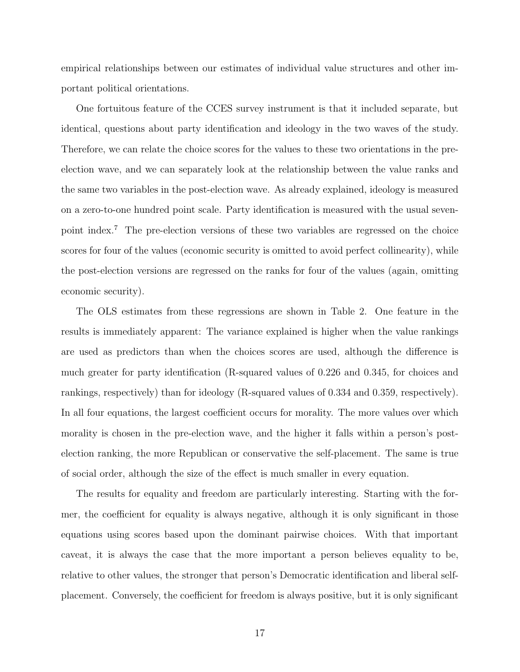empirical relationships between our estimates of individual value structures and other important political orientations.

One fortuitous feature of the CCES survey instrument is that it included separate, but identical, questions about party identification and ideology in the two waves of the study. Therefore, we can relate the choice scores for the values to these two orientations in the preelection wave, and we can separately look at the relationship between the value ranks and the same two variables in the post-election wave. As already explained, ideology is measured on a zero-to-one hundred point scale. Party identification is measured with the usual sevenpoint index.<sup>7</sup> The pre-election versions of these two variables are regressed on the choice scores for four of the values (economic security is omitted to avoid perfect collinearity), while the post-election versions are regressed on the ranks for four of the values (again, omitting economic security).

The OLS estimates from these regressions are shown in Table 2. One feature in the results is immediately apparent: The variance explained is higher when the value rankings are used as predictors than when the choices scores are used, although the difference is much greater for party identification (R-squared values of 0.226 and 0.345, for choices and rankings, respectively) than for ideology (R-squared values of 0.334 and 0.359, respectively). In all four equations, the largest coefficient occurs for morality. The more values over which morality is chosen in the pre-election wave, and the higher it falls within a person's postelection ranking, the more Republican or conservative the self-placement. The same is true of social order, although the size of the effect is much smaller in every equation.

The results for equality and freedom are particularly interesting. Starting with the former, the coefficient for equality is always negative, although it is only significant in those equations using scores based upon the dominant pairwise choices. With that important caveat, it is always the case that the more important a person believes equality to be, relative to other values, the stronger that person's Democratic identification and liberal selfplacement. Conversely, the coefficient for freedom is always positive, but it is only significant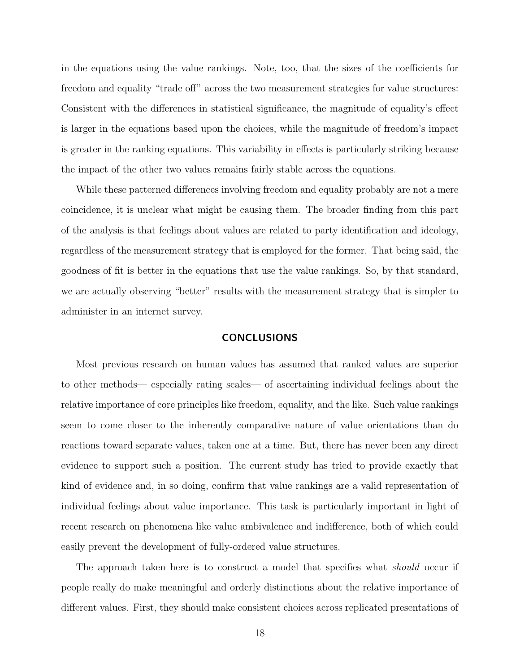in the equations using the value rankings. Note, too, that the sizes of the coefficients for freedom and equality "trade off" across the two measurement strategies for value structures: Consistent with the differences in statistical significance, the magnitude of equality's effect is larger in the equations based upon the choices, while the magnitude of freedom's impact is greater in the ranking equations. This variability in effects is particularly striking because the impact of the other two values remains fairly stable across the equations.

While these patterned differences involving freedom and equality probably are not a mere coincidence, it is unclear what might be causing them. The broader finding from this part of the analysis is that feelings about values are related to party identification and ideology, regardless of the measurement strategy that is employed for the former. That being said, the goodness of fit is better in the equations that use the value rankings. So, by that standard, we are actually observing "better" results with the measurement strategy that is simpler to administer in an internet survey.

#### CONCLUSIONS

Most previous research on human values has assumed that ranked values are superior to other methods— especially rating scales— of ascertaining individual feelings about the relative importance of core principles like freedom, equality, and the like. Such value rankings seem to come closer to the inherently comparative nature of value orientations than do reactions toward separate values, taken one at a time. But, there has never been any direct evidence to support such a position. The current study has tried to provide exactly that kind of evidence and, in so doing, confirm that value rankings are a valid representation of individual feelings about value importance. This task is particularly important in light of recent research on phenomena like value ambivalence and indifference, both of which could easily prevent the development of fully-ordered value structures.

The approach taken here is to construct a model that specifies what *should* occur if people really do make meaningful and orderly distinctions about the relative importance of different values. First, they should make consistent choices across replicated presentations of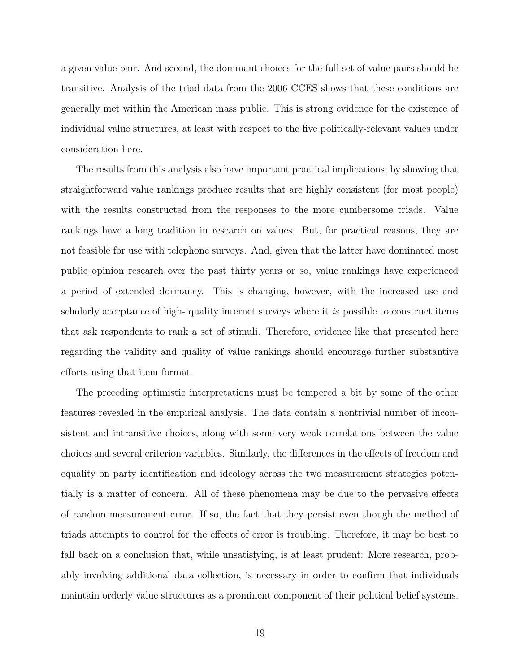a given value pair. And second, the dominant choices for the full set of value pairs should be transitive. Analysis of the triad data from the 2006 CCES shows that these conditions are generally met within the American mass public. This is strong evidence for the existence of individual value structures, at least with respect to the five politically-relevant values under consideration here.

The results from this analysis also have important practical implications, by showing that straightforward value rankings produce results that are highly consistent (for most people) with the results constructed from the responses to the more cumbersome triads. Value rankings have a long tradition in research on values. But, for practical reasons, they are not feasible for use with telephone surveys. And, given that the latter have dominated most public opinion research over the past thirty years or so, value rankings have experienced a period of extended dormancy. This is changing, however, with the increased use and scholarly acceptance of high- quality internet surveys where it is possible to construct items that ask respondents to rank a set of stimuli. Therefore, evidence like that presented here regarding the validity and quality of value rankings should encourage further substantive efforts using that item format.

The preceding optimistic interpretations must be tempered a bit by some of the other features revealed in the empirical analysis. The data contain a nontrivial number of inconsistent and intransitive choices, along with some very weak correlations between the value choices and several criterion variables. Similarly, the differences in the effects of freedom and equality on party identification and ideology across the two measurement strategies potentially is a matter of concern. All of these phenomena may be due to the pervasive effects of random measurement error. If so, the fact that they persist even though the method of triads attempts to control for the effects of error is troubling. Therefore, it may be best to fall back on a conclusion that, while unsatisfying, is at least prudent: More research, probably involving additional data collection, is necessary in order to confirm that individuals maintain orderly value structures as a prominent component of their political belief systems.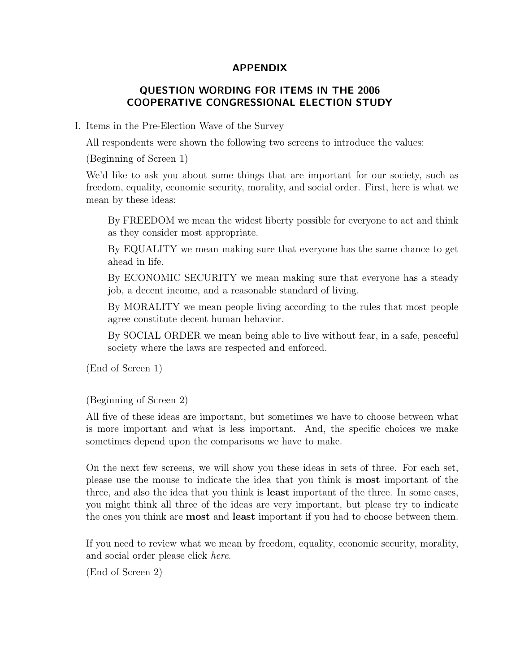# APPENDIX

# QUESTION WORDING FOR ITEMS IN THE 2006 COOPERATIVE CONGRESSIONAL ELECTION STUDY

## I. Items in the Pre-Election Wave of the Survey

All respondents were shown the following two screens to introduce the values:

(Beginning of Screen 1)

We'd like to ask you about some things that are important for our society, such as freedom, equality, economic security, morality, and social order. First, here is what we mean by these ideas:

By FREEDOM we mean the widest liberty possible for everyone to act and think as they consider most appropriate.

By EQUALITY we mean making sure that everyone has the same chance to get ahead in life.

By ECONOMIC SECURITY we mean making sure that everyone has a steady job, a decent income, and a reasonable standard of living.

By MORALITY we mean people living according to the rules that most people agree constitute decent human behavior.

By SOCIAL ORDER we mean being able to live without fear, in a safe, peaceful society where the laws are respected and enforced.

(End of Screen 1)

(Beginning of Screen 2)

All five of these ideas are important, but sometimes we have to choose between what is more important and what is less important. And, the specific choices we make sometimes depend upon the comparisons we have to make.

On the next few screens, we will show you these ideas in sets of three. For each set, please use the mouse to indicate the idea that you think is most important of the three, and also the idea that you think is least important of the three. In some cases, you might think all three of the ideas are very important, but please try to indicate the ones you think are most and least important if you had to choose between them.

If you need to review what we mean by freedom, equality, economic security, morality, and social order please click here.

(End of Screen 2)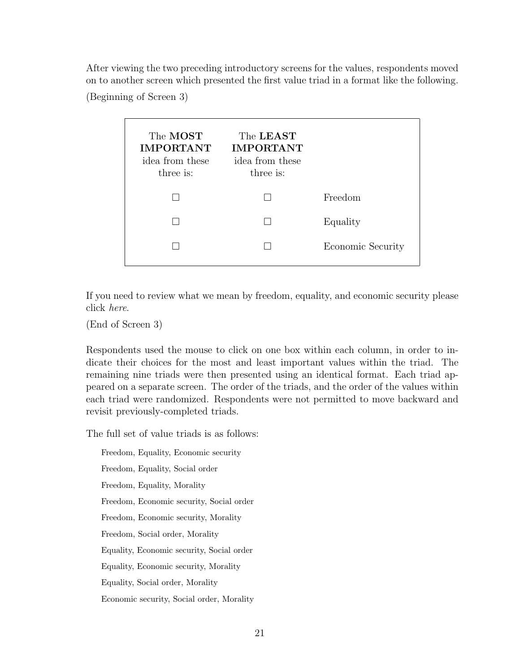After viewing the two preceding introductory screens for the values, respondents moved on to another screen which presented the first value triad in a format like the following.

(Beginning of Screen 3)

| The MOST<br><b>IMPORTANT</b><br>idea from these<br>three is: | The LEAST<br><b>IMPORTANT</b><br>idea from these<br>three is: |                   |
|--------------------------------------------------------------|---------------------------------------------------------------|-------------------|
|                                                              |                                                               | Freedom           |
|                                                              |                                                               | Equality          |
|                                                              |                                                               | Economic Security |
|                                                              |                                                               |                   |

If you need to review what we mean by freedom, equality, and economic security please click here.

(End of Screen 3)

Respondents used the mouse to click on one box within each column, in order to indicate their choices for the most and least important values within the triad. The remaining nine triads were then presented using an identical format. Each triad appeared on a separate screen. The order of the triads, and the order of the values within each triad were randomized. Respondents were not permitted to move backward and revisit previously-completed triads.

The full set of value triads is as follows:

Freedom, Equality, Economic security Freedom, Equality, Social order Freedom, Equality, Morality Freedom, Economic security, Social order Freedom, Economic security, Morality Freedom, Social order, Morality Equality, Economic security, Social order Equality, Economic security, Morality Equality, Social order, Morality Economic security, Social order, Morality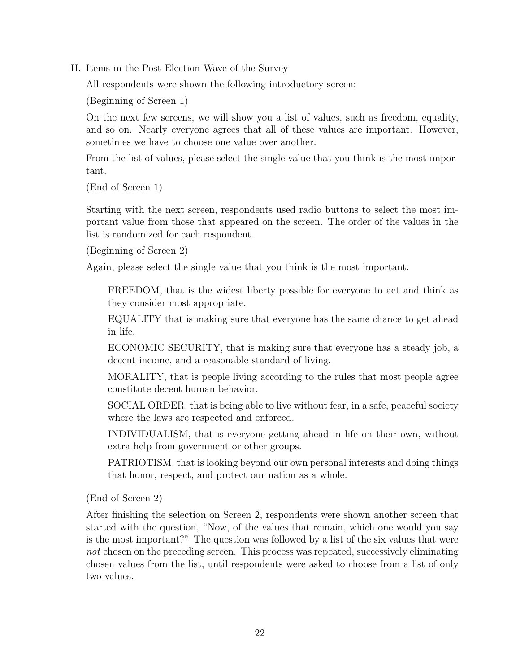II. Items in the Post-Election Wave of the Survey

All respondents were shown the following introductory screen:

(Beginning of Screen 1)

On the next few screens, we will show you a list of values, such as freedom, equality, and so on. Nearly everyone agrees that all of these values are important. However, sometimes we have to choose one value over another.

From the list of values, please select the single value that you think is the most important.

```
(End of Screen 1)
```
Starting with the next screen, respondents used radio buttons to select the most important value from those that appeared on the screen. The order of the values in the list is randomized for each respondent.

(Beginning of Screen 2)

Again, please select the single value that you think is the most important.

FREEDOM, that is the widest liberty possible for everyone to act and think as they consider most appropriate.

EQUALITY that is making sure that everyone has the same chance to get ahead in life.

ECONOMIC SECURITY, that is making sure that everyone has a steady job, a decent income, and a reasonable standard of living.

MORALITY, that is people living according to the rules that most people agree constitute decent human behavior.

SOCIAL ORDER, that is being able to live without fear, in a safe, peaceful society where the laws are respected and enforced.

INDIVIDUALISM, that is everyone getting ahead in life on their own, without extra help from government or other groups.

PATRIOTISM, that is looking beyond our own personal interests and doing things that honor, respect, and protect our nation as a whole.

(End of Screen 2)

After finishing the selection on Screen 2, respondents were shown another screen that started with the question, "Now, of the values that remain, which one would you say is the most important?" The question was followed by a list of the six values that were not chosen on the preceding screen. This process was repeated, successively eliminating chosen values from the list, until respondents were asked to choose from a list of only two values.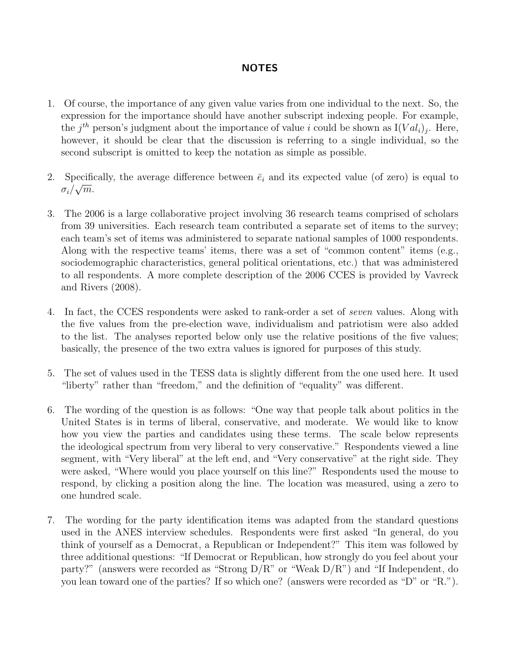# NOTES

- 1. Of course, the importance of any given value varies from one individual to the next. So, the expression for the importance should have another subscript indexing people. For example, the  $j^{th}$  person's judgment about the importance of value i could be shown as  $I(Val_i)_j$ . Here, however, it should be clear that the discussion is referring to a single individual, so the second subscript is omitted to keep the notation as simple as possible.
- 2. Specifically, the average difference between  $\bar{e}_i$  and its expected value (of zero) is equal to  $\sigma_i/\sqrt{m}.$
- 3. The 2006 is a large collaborative project involving 36 research teams comprised of scholars from 39 universities. Each research team contributed a separate set of items to the survey; each team's set of items was administered to separate national samples of 1000 respondents. Along with the respective teams' items, there was a set of "common content" items (e.g., sociodemographic characteristics, general political orientations, etc.) that was administered to all respondents. A more complete description of the 2006 CCES is provided by Vavreck and Rivers (2008).
- 4. In fact, the CCES respondents were asked to rank-order a set of seven values. Along with the five values from the pre-election wave, individualism and patriotism were also added to the list. The analyses reported below only use the relative positions of the five values; basically, the presence of the two extra values is ignored for purposes of this study.
- 5. The set of values used in the TESS data is slightly different from the one used here. It used "liberty" rather than "freedom," and the definition of "equality" was different.
- 6. The wording of the question is as follows: "One way that people talk about politics in the United States is in terms of liberal, conservative, and moderate. We would like to know how you view the parties and candidates using these terms. The scale below represents the ideological spectrum from very liberal to very conservative." Respondents viewed a line segment, with "Very liberal" at the left end, and "Very conservative" at the right side. They were asked, "Where would you place yourself on this line?" Respondents used the mouse to respond, by clicking a position along the line. The location was measured, using a zero to one hundred scale.
- 7. The wording for the party identification items was adapted from the standard questions used in the ANES interview schedules. Respondents were first asked "In general, do you think of yourself as a Democrat, a Republican or Independent?" This item was followed by three additional questions: "If Democrat or Republican, how strongly do you feel about your party?" (answers were recorded as "Strong D/R" or "Weak D/R") and "If Independent, do you lean toward one of the parties? If so which one? (answers were recorded as "D" or "R.").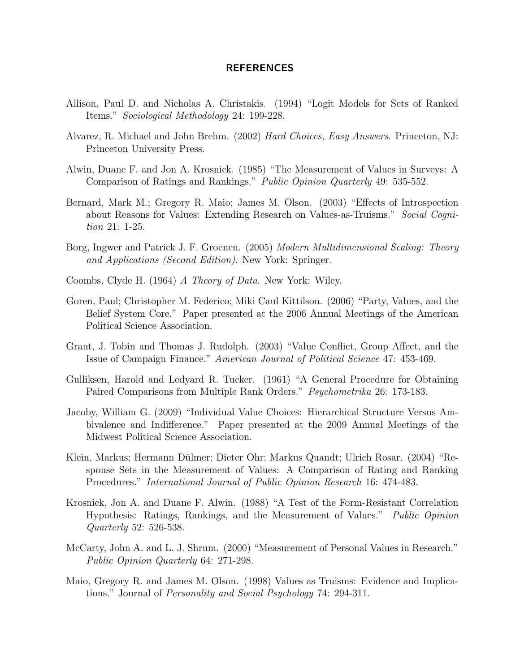#### REFERENCES

- Allison, Paul D. and Nicholas A. Christakis. (1994) "Logit Models for Sets of Ranked Items." Sociological Methodology 24: 199-228.
- Alvarez, R. Michael and John Brehm. (2002) Hard Choices, Easy Answers. Princeton, NJ: Princeton University Press.
- Alwin, Duane F. and Jon A. Krosnick. (1985) "The Measurement of Values in Surveys: A Comparison of Ratings and Rankings." Public Opinion Quarterly 49: 535-552.
- Bernard, Mark M.; Gregory R. Maio; James M. Olson. (2003) "Effects of Introspection about Reasons for Values: Extending Research on Values-as-Truisms." Social Cognition 21: 1-25.
- Borg, Ingwer and Patrick J. F. Groenen. (2005) Modern Multidimensional Scaling: Theory and Applications (Second Edition). New York: Springer.
- Coombs, Clyde H. (1964) A Theory of Data. New York: Wiley.
- Goren, Paul; Christopher M. Federico; Miki Caul Kittilson. (2006) "Party, Values, and the Belief System Core." Paper presented at the 2006 Annual Meetings of the American Political Science Association.
- Grant, J. Tobin and Thomas J. Rudolph. (2003) "Value Conflict, Group Affect, and the Issue of Campaign Finance." American Journal of Political Science 47: 453-469.
- Gulliksen, Harold and Ledyard R. Tucker. (1961) "A General Procedure for Obtaining Paired Comparisons from Multiple Rank Orders." *Psychometrika* 26: 173-183.
- Jacoby, William G. (2009) "Individual Value Choices: Hierarchical Structure Versus Ambivalence and Indifference." Paper presented at the 2009 Annual Meetings of the Midwest Political Science Association.
- Klein, Markus; Hermann Dülmer; Dieter Ohr; Markus Quandt; Ulrich Rosar. (2004) "Response Sets in the Measurement of Values: A Comparison of Rating and Ranking Procedures." International Journal of Public Opinion Research 16: 474-483.
- Krosnick, Jon A. and Duane F. Alwin. (1988) "A Test of the Form-Resistant Correlation Hypothesis: Ratings, Rankings, and the Measurement of Values." Public Opinion Quarterly 52: 526-538.
- McCarty, John A. and L. J. Shrum. (2000) "Measurement of Personal Values in Research." Public Opinion Quarterly 64: 271-298.
- Maio, Gregory R. and James M. Olson. (1998) Values as Truisms: Evidence and Implications." Journal of Personality and Social Psychology 74: 294-311.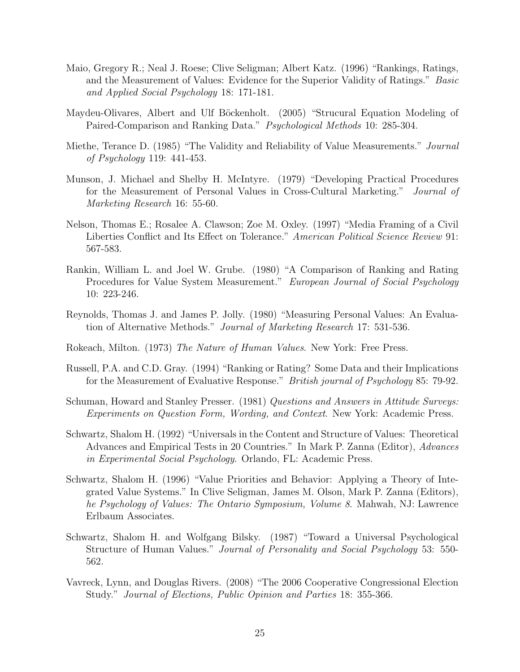- Maio, Gregory R.; Neal J. Roese; Clive Seligman; Albert Katz. (1996) "Rankings, Ratings, and the Measurement of Values: Evidence for the Superior Validity of Ratings." Basic and Applied Social Psychology 18: 171-181.
- Maydeu-Olivares, Albert and Ulf Böckenholt. (2005) "Strucural Equation Modeling of Paired-Comparison and Ranking Data." Psychological Methods 10: 285-304.
- Miethe, Terance D. (1985) "The Validity and Reliability of Value Measurements." Journal of Psychology 119: 441-453.
- Munson, J. Michael and Shelby H. McIntyre. (1979) "Developing Practical Procedures for the Measurement of Personal Values in Cross-Cultural Marketing." Journal of Marketing Research 16: 55-60.
- Nelson, Thomas E.; Rosalee A. Clawson; Zoe M. Oxley. (1997) "Media Framing of a Civil Liberties Conflict and Its Effect on Tolerance." American Political Science Review 91: 567-583.
- Rankin, William L. and Joel W. Grube. (1980) "A Comparison of Ranking and Rating Procedures for Value System Measurement." European Journal of Social Psychology 10: 223-246.
- Reynolds, Thomas J. and James P. Jolly. (1980) "Measuring Personal Values: An Evaluation of Alternative Methods." Journal of Marketing Research 17: 531-536.
- Rokeach, Milton. (1973) The Nature of Human Values. New York: Free Press.
- Russell, P.A. and C.D. Gray. (1994) "Ranking or Rating? Some Data and their Implications for the Measurement of Evaluative Response." British journal of Psychology 85: 79-92.
- Schuman, Howard and Stanley Presser. (1981) Questions and Answers in Attitude Surveys: Experiments on Question Form, Wording, and Context. New York: Academic Press.
- Schwartz, Shalom H. (1992) "Universals in the Content and Structure of Values: Theoretical Advances and Empirical Tests in 20 Countries." In Mark P. Zanna (Editor), Advances in Experimental Social Psychology. Orlando, FL: Academic Press.
- Schwartz, Shalom H. (1996) "Value Priorities and Behavior: Applying a Theory of Integrated Value Systems." In Clive Seligman, James M. Olson, Mark P. Zanna (Editors), he Psychology of Values: The Ontario Symposium, Volume 8. Mahwah, NJ: Lawrence Erlbaum Associates.
- Schwartz, Shalom H. and Wolfgang Bilsky. (1987) "Toward a Universal Psychological Structure of Human Values." Journal of Personality and Social Psychology 53: 550- 562.
- Vavreck, Lynn, and Douglas Rivers. (2008) "The 2006 Cooperative Congressional Election Study." Journal of Elections, Public Opinion and Parties 18: 355-366.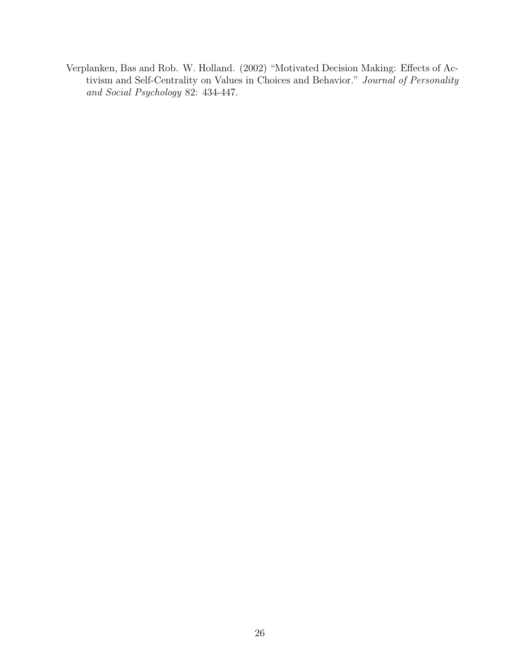Verplanken, Bas and Rob. W. Holland. (2002) "Motivated Decision Making: Effects of Activism and Self-Centrality on Values in Choices and Behavior." Journal of Personality and Social Psychology 82: 434-447.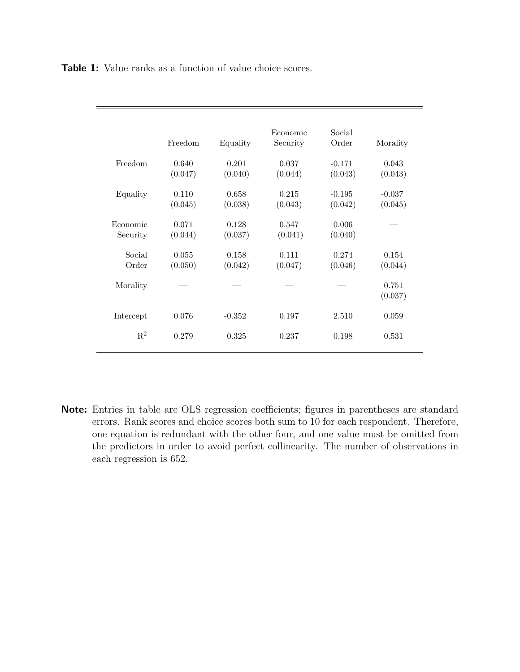| <b>Table 1:</b> Value ranks as a function of value choice scores. |  |
|-------------------------------------------------------------------|--|
|-------------------------------------------------------------------|--|

| Freedom          | Equality         | Economic<br>Security | Social<br>Order     | Morality            |
|------------------|------------------|----------------------|---------------------|---------------------|
| 0.640<br>(0.047) | 0.201<br>(0.040) | 0.037<br>(0.044)     | $-0.171$<br>(0.043) | 0.043<br>(0.043)    |
| 0.110<br>(0.045) | 0.658<br>(0.038) | 0.215<br>(0.043)     | $-0.195$<br>(0.042) | $-0.037$<br>(0.045) |
| 0.071<br>(0.044) | 0.128<br>(0.037) | 0.547<br>(0.041)     | 0.006<br>(0.040)    |                     |
| 0.055<br>(0.050) | 0.158<br>(0.042) | 0.111<br>(0.047)     | 0.274<br>(0.046)    | 0.154<br>(0.044)    |
|                  |                  |                      |                     | 0.751<br>(0.037)    |
| 0.076            | $-0.352$         | 0.197                | 2.510               | 0.059               |
| 0.279            | 0.325            | 0.237                | 0.198               | 0.531               |
|                  |                  |                      |                     |                     |

Note: Entries in table are OLS regression coefficients; figures in parentheses are standard errors. Rank scores and choice scores both sum to 10 for each respondent. Therefore, one equation is redundant with the other four, and one value must be omitted from the predictors in order to avoid perfect collinearity. The number of observations in each regression is 652.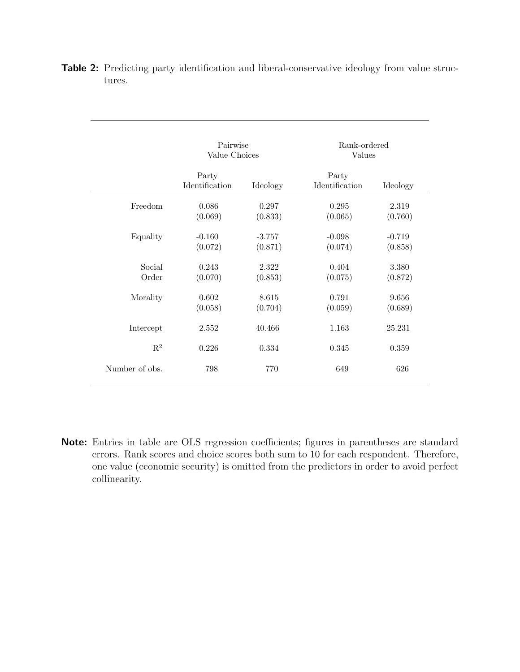|                 | Pairwise<br>Value Choices |                     | Rank-ordered<br>Values  |                     |
|-----------------|---------------------------|---------------------|-------------------------|---------------------|
|                 | Party<br>Identification   | Ideology            | Party<br>Identification | Ideology            |
| Freedom         | 0.086<br>(0.069)          | 0.297<br>(0.833)    | 0.295<br>(0.065)        | 2.319<br>(0.760)    |
| Equality        | $-0.160$<br>(0.072)       | $-3.757$<br>(0.871) | $-0.098$<br>(0.074)     | $-0.719$<br>(0.858) |
| Social<br>Order | 0.243<br>(0.070)          | 2.322<br>(0.853)    | 0.404<br>(0.075)        | 3.380<br>(0.872)    |
| Morality        | 0.602<br>(0.058)          | 8.615<br>(0.704)    | 0.791<br>(0.059)        | 9.656<br>(0.689)    |
| Intercept       | 2.552                     | 40.466              | 1.163                   | 25.231              |
| $\mathbf{R}^2$  | 0.226                     | 0.334               | 0.345                   | 0.359               |
| Number of obs.  | 798                       | 770                 | 649                     | 626                 |

Table 2: Predicting party identification and liberal-conservative ideology from value structures.

Note: Entries in table are OLS regression coefficients; figures in parentheses are standard errors. Rank scores and choice scores both sum to 10 for each respondent. Therefore, one value (economic security) is omitted from the predictors in order to avoid perfect collinearity.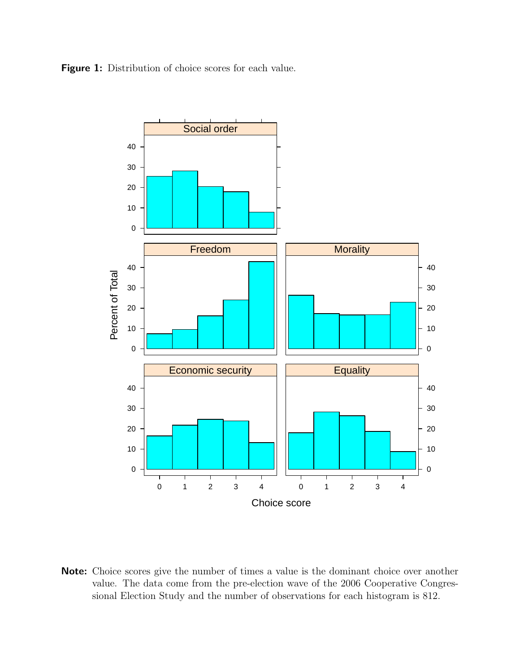Figure 1: Distribution of choice scores for each value.



Note: Choice scores give the number of times a value is the dominant choice over another value. The data come from the pre-election wave of the 2006 Cooperative Congressional Election Study and the number of observations for each histogram is 812.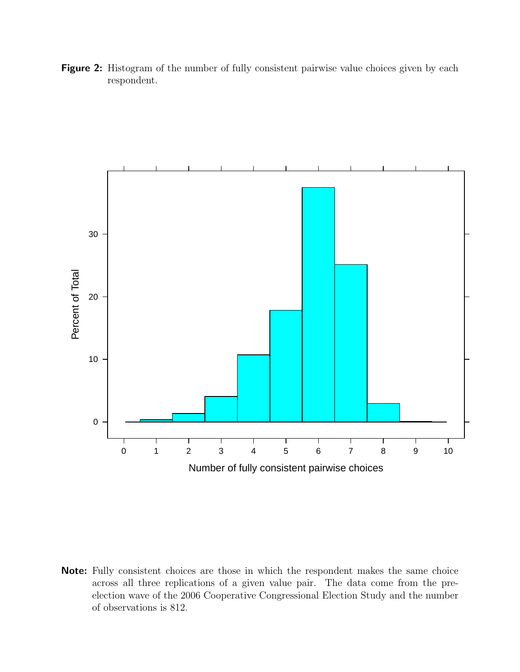Figure 2: Histogram of the number of fully consistent pairwise value choices given by each respondent.



Note: Fully consistent choices are those in which the respondent makes the same choice across all three replications of a given value pair. The data come from the preelection wave of the 2006 Cooperative Congressional Election Study and the number of observations is 812.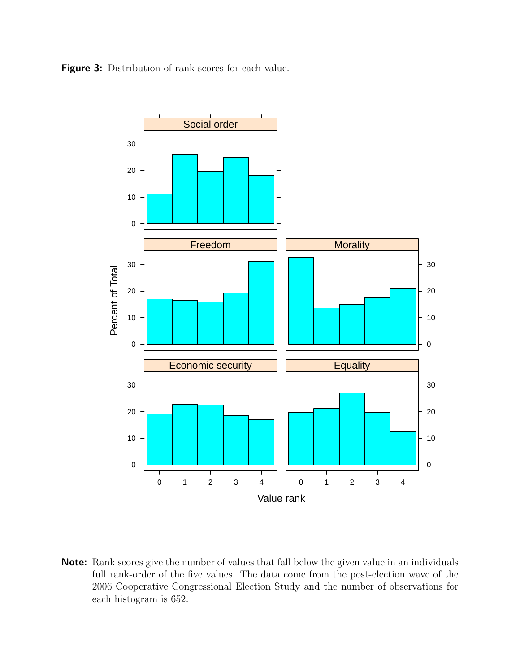Figure 3: Distribution of rank scores for each value.



Note: Rank scores give the number of values that fall below the given value in an individuals full rank-order of the five values. The data come from the post-election wave of the 2006 Cooperative Congressional Election Study and the number of observations for each histogram is 652.